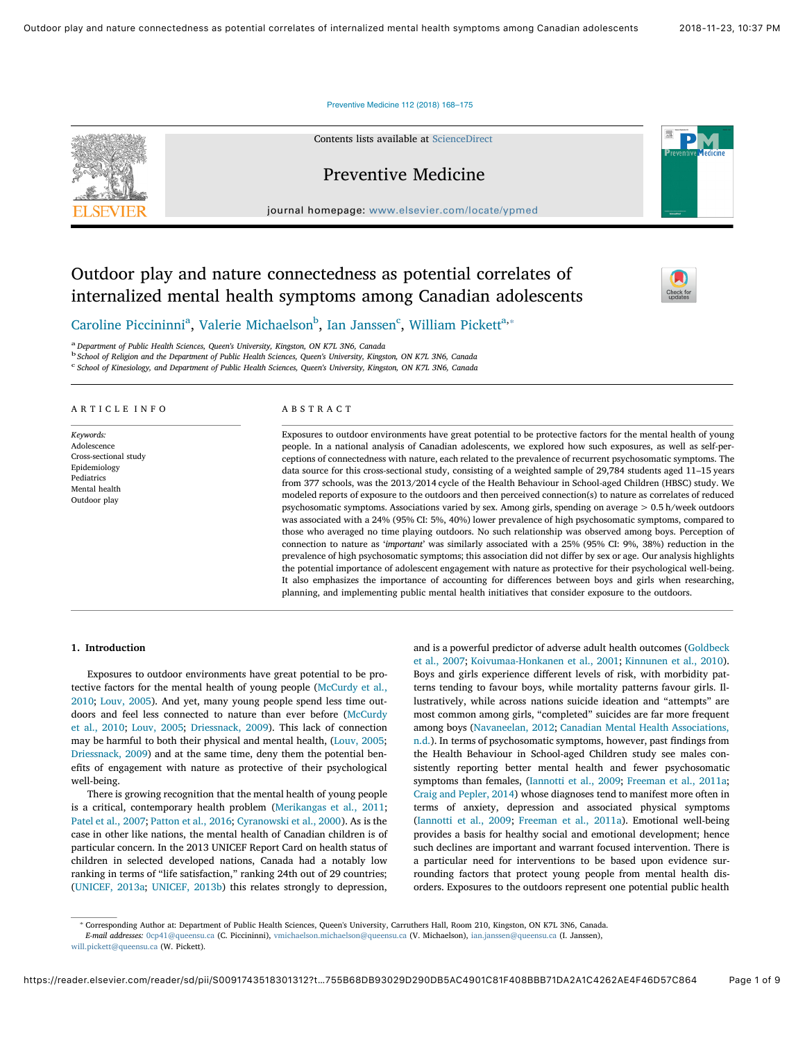Preventive Medicine 112 (2018) 168–175



# Outdoor play and nature connectedness as potential correlates of internalized mental health symptoms among Canadian adolescents



Caroline Piccininni<sup>a</sup>, Valerie Michaelson<sup>b</sup>, Ian Janssen<sup>c</sup>, William Pickett<sup>a,\*</sup>

<sup>a</sup> Department of Public Health Sciences, Queen's University, Kingston, ON K7L 3N6, Canada<br><sup>b</sup> School of Religion and the Department of Public Health Sciences, Queen's University, Kingston, ON K7L 3N6, Canada<br><sup>c</sup> School of

### ARTICLE INFO

Keywords: Adolescence Cross-sectional study Epidemiology Pediatrics Mental health Outdoor play

# ABSTRACT

Exposures to outdoor environments have great potential to be protective factors for the mental health of young people. In a national analysis of Canadian adolescents, we explored how such exposures, as well as self-per-Tceptions of connectedness with nature, each related to the prevalence of recurrent psychosomatic symptoms. The data source for this cross-sectional study, consisting of a weighted sample of 29,784 students aged 11–15 years from 377 schools, was the 2013/2014 cycle of the Health Behaviour in School-aged Children (HBSC) study. We modeled reports of exposure to the outdoors and then perceived connection(s) to nature as correlates of reduced psychosomatic symptoms. Associations varied by sex. Among girls, spending on average > 0.5 h/week outdoors was associated with a 24% (95% CI: 5%, 40%) lower prevalence of high psychosomatic symptoms, compared to those who averaged no time playing outdoors. No such relationship was observed among boys. Perception of connection to nature as 'important' was similarly associated with a 25% (95% CI: 9%, 38%) reduction in the prevalence of high psychosomatic symptoms; this association did not differ by sex or age. Our analysis highlights the potential importance of adolescent engagement with nature as protective for their psychological well-being. It also emphasizes the importance of accounting for differences between boys and girls when researching, planning, and implementing public mental health initiatives that consider exposure to the outdoors.

# 1. Introduction

Exposures to outdoor environments have great potential to be protective factors for the mental health of young people ([McCurdy](#page-6-0) et al., [2010](#page-6-0); [Louv,](#page-6-0) 2005). And yet, many young people spend less time outdoors and feel less connected to nature than ever before [\(McCurdy](#page-6-0) et al., [2010](#page-6-0); [Louv,](#page-6-0) 2005; [Driessnack,](#page-6-0) 2009). This lack of connection may be harmful to both their physical and mental health, [\(Louv,](#page-6-0) 2005; [Driessnack,](#page-6-0) 2009) and at the same time, deny them the potential benefits of engagement with nature as protective of their psychological well-being.

There is growing recognition that the mental health of young people is a critical, contemporary health problem [\(Merikangas](#page-6-0) et al., 2011; Patel et al., [2007;](#page-7-0) [Patton](#page-7-0) et al., 2016; [Cyranowski](#page-6-0) et al., 2000). As is the case in other like nations, the mental health of Canadian children is of particular concern. In the 2013 UNICEF Report Card on health status of children in selected developed nations, Canada had a notably low ranking in terms of "life satisfaction," ranking 24th out of 29 countries; [\(UNICEF,](#page-7-0) 2013a; [UNICEF,](#page-7-0) 2013b) this relates strongly to depression,

and is a powerful predictor of adverse adult health outcomes ([Goldbeck](#page-6-0) et al., [2007;](#page-6-0) [Koivumaa-Honkanen](#page-6-0) et al., 2001; [Kinnunen](#page-6-0) et al., 2010). Boys and girls experience different levels of risk, with morbidity patterns tending to favour boys, while mortality patterns favour girls. Illustratively, while across nations suicide ideation and "attempts" are most common among girls, "completed" suicides are far more frequent among boys [\(Navaneelan,](#page-6-0) 2012; Canadian Mental Health [Associations,](#page-6-0) [n.d.\)](#page-6-0). In terms of psychosomatic symptoms, however, past findings from the Health Behaviour in School-aged Children study see males consistently reporting better mental health and fewer psychosomatic symptoms than females, ([Iannotti](#page-6-0) et al., 2009; [Freeman](#page-6-0) et al., 2011a; Craig and [Pepler,](#page-6-0) 2014) whose diagnoses tend to manifest more often in terms of anxiety, depression and associated physical symptoms ([Iannotti](#page-6-0) et al., 2009; [Freeman](#page-6-0) et al., 2011a). Emotional well-being provides a basis for healthy social and emotional development; hence such declines are important and warrant focused intervention. There is a particular need for interventions to be based upon evidence surrounding factors that protect young people from mental health disorders. Exposures to the outdoors represent one potential public health

<sup>⁎</sup> Corresponding Author at: Department of Public Health Sciences, Queen's University, Carruthers Hall, Room 210, Kingston, ON K7L 3N6, Canada. E-mail addresses: 0cp41@queensu.ca (C. Piccininni), vmichaelson.michaelson@queensu.ca (V. Michaelson), ian.janssen@queensu.ca (I. Janssen),

will.pickett@queensu.ca (W. Pickett).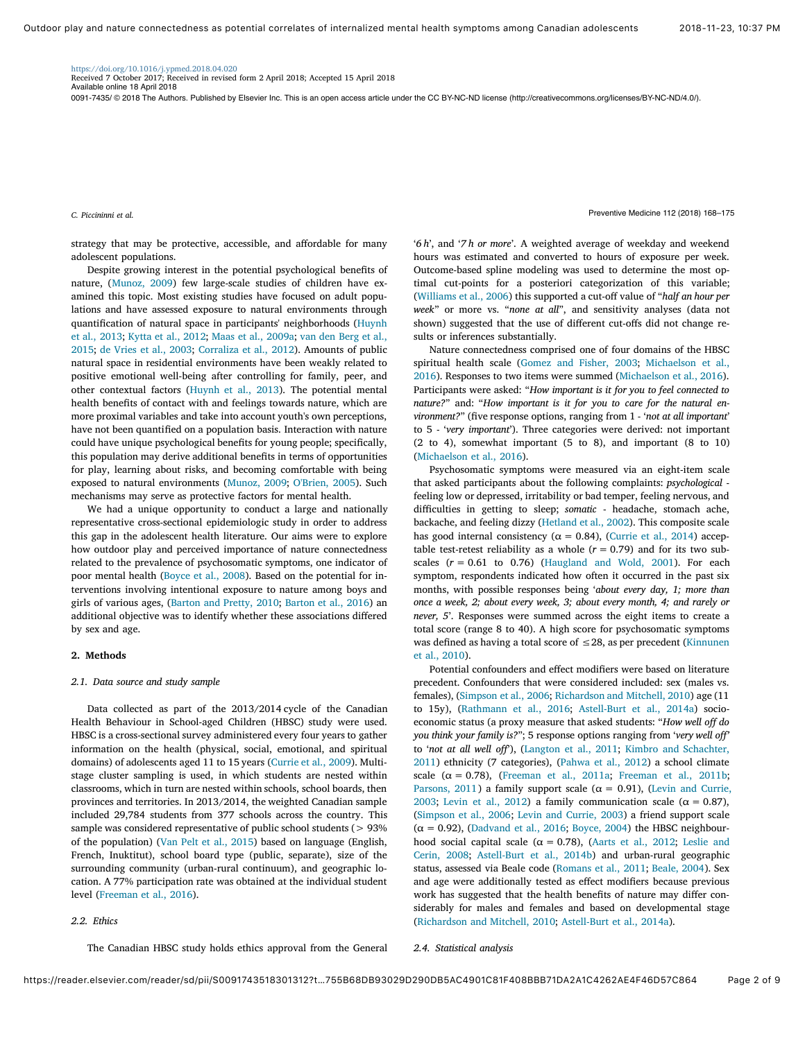https://doi.org/10.1016/j.ypmed.2018.04.020 Received 7 October 2017; Received in revised form 2 April 2018; Accepted 15 April 2018

Available online 18 April 2018

0091-7435/ © 2018 The Authors. Published by Elsevier Inc. This is an open access article under the CC BY-NC-ND license (http://creativecommons.org/licenses/BY-NC-ND/4.0/).

# C. Piccininni et al. Preventive Medicine 112 (2018) 168–175

strategy that may be protective, accessible, and affordable for many adolescent populations.

Despite growing interest in the potential psychological benefits of nature, ([Munoz,](#page-6-0) 2009) few large-scale studies of children have examined this topic. Most existing studies have focused on adult populations and have assessed exposure to natural environments through quantification of natural space in participants' neighborhoods ([Huynh](#page-6-0) et al., [2013](#page-6-0); Kytta et al., [2012;](#page-6-0) Maas et al., [2009a;](#page-6-0) van den [Berg](#page-7-0) et al., [2015](#page-7-0); de [Vries](#page-6-0) et al., 2003; [Corraliza](#page-6-0) et al., 2012). Amounts of public natural space in residential environments have been weakly related to positive emotional well-being after controlling for family, peer, and other contextual factors [\(Huynh](#page-6-0) et al., 2013). The potential mental health benefits of contact with and feelings towards nature, which are more proximal variables and take into account youth's own perceptions, have not been quantified on a population basis. Interaction with nature could have unique psychological benefits for young people; specifically, this population may derive additional benefits in terms of opportunities for play, learning about risks, and becoming comfortable with being exposed to natural environments ([Munoz,](#page-6-0) 2009; [O'Brien,](#page-6-0) 2005). Such mechanisms may serve as protective factors for mental health.

We had a unique opportunity to conduct a large and nationally representative cross-sectional epidemiologic study in order to address this gap in the adolescent health literature. Our aims were to explore how outdoor play and perceived importance of nature connectedness related to the prevalence of psychosomatic symptoms, one indicator of poor mental health ([Boyce](#page-6-0) et al., 2008). Based on the potential for interventions involving intentional exposure to nature among boys and girls of various ages, [\(Barton](#page-5-0) and Pretty, 2010; [Barton](#page-5-0) et al., 2016) an additional objective was to identify whether these associations differed by sex and age.

### 2. Methods

#### 2.1. Data source and study sample

Data collected as part of the 2013/2014 cycle of the Canadian Health Behaviour in School-aged Children (HBSC) study were used. HBSC is a cross-sectional survey administered every four years to gather information on the health (physical, social, emotional, and spiritual domains) of adolescents aged 11 to 15 years [\(Currie](#page-6-0) et al., 2009). Multistage cluster sampling is used, in which students are nested within classrooms, which in turn are nested within schools, school boards, then provinces and territories. In 2013/2014, the weighted Canadian sample included 29,784 students from 377 schools across the country. This sample was considered representative of public school students ( $> 93\%$ of the population) (Van Pelt et al., [2015\)](#page-7-0) based on language (English, French, Inuktitut), school board type (public, separate), size of the surrounding community (urban-rural continuum), and geographic location. A 77% participation rate was obtained at the individual student level ([Freeman](#page-6-0) et al., 2016).

#### 2.2. Ethics

The Canadian HBSC study holds ethics approval from the General

'6 h', and '7 h or more'. A weighted average of weekday and weekend hours was estimated and converted to hours of exposure per week. Outcome-based spline modeling was used to determine the most optimal cut-points for a posteriori categorization of this variable; ([Williams](#page-7-0) et al., 2006) this supported a cut-off value of "half an hour per week" or more vs. "none at all", and sensitivity analyses (data not shown) suggested that the use of different cut-offs did not change results or inferences substantially.

Nature connectedness comprised one of four domains of the HBSC spiritual health scale [\(Gomez](#page-6-0) and Fisher, 2003; [Michaelson](#page-6-0) et al., [2016\)](#page-6-0). Responses to two items were summed [\(Michaelson](#page-6-0) et al., 2016). Participants were asked: "How important is it for you to feel connected to nature?" and: "How important is it for you to care for the natural environment?" (five response options, ranging from 1 - 'not at all important' to 5 - 'very important'). Three categories were derived: not important (2 to 4), somewhat important (5 to 8), and important (8 to 10) ([Michaelson](#page-6-0) et al., 2016).

Psychosomatic symptoms were measured via an eight-item scale that asked participants about the following complaints: psychological feeling low or depressed, irritability or bad temper, feeling nervous, and difficulties in getting to sleep; somatic - headache, stomach ache, backache, and feeling dizzy [\(Hetland](#page-6-0) et al., 2002). This composite scale has good internal consistency ( $\alpha$  = 0.84), ([Currie](#page-6-0) et al., 2014) acceptable test-retest reliability as a whole  $(r = 0.79)$  and for its two subscales  $(r = 0.61$  to 0.76) [\(Haugland](#page-6-0) and Wold, 2001). For each symptom, respondents indicated how often it occurred in the past six months, with possible responses being 'about every day, 1; more than once a week, 2; about every week, 3; about every month, 4; and rarely or never, 5'. Responses were summed across the eight items to create a total score (range 8 to 40). A high score for psychosomatic symptoms was defined as having a total score of  $\leq$  28, as per precedent [\(Kinnunen](#page-6-0) et al., [2010\)](#page-6-0).

Potential confounders and effect modifiers were based on literature precedent. Confounders that were considered included: sex (males vs. females), ([Simpson](#page-7-0) et al., 2006; [Richardson](#page-7-0) and Mitchell, 2010) age (11 to 15y), [\(Rathmann](#page-7-0) et al., 2016; [Astell-Burt](#page-5-0) et al., 2014a) socioeconomic status (a proxy measure that asked students: "How well off do you think your family is?"; 5 response options ranging from 'very well off' to 'not at all well off'), ([Langton](#page-6-0) et al., 2011; Kimbro and [Schachter,](#page-6-0) [2011\)](#page-6-0) ethnicity (7 categories), [\(Pahwa](#page-6-0) et al., 2012) a school climate scale  $(\alpha = 0.78)$ , [\(Freeman](#page-6-0) et al., 2011a; [Freeman](#page-6-0) et al., 2011b; [Parsons,](#page-6-0) 2011) a family support scale ( $\alpha$  = 0.91), (Levin and [Currie,](#page-6-0) [2003;](#page-6-0) [Levin](#page-6-0) et al., 2012) a family communication scale ( $\alpha = 0.87$ ), ([Simpson](#page-7-0) et al., 2006; Levin and [Currie,](#page-6-0) 2003) a friend support scale  $(\alpha = 0.92)$ , ([Dadvand](#page-6-0) et al., 2016; [Boyce,](#page-5-0) 2004) the HBSC neighbourhood social capital scale ( $\alpha$  = 0.78), (Aarts et al., [2012;](#page-5-0) [Leslie](#page-6-0) and [Cerin,](#page-6-0) 2008; [Astell-Burt](#page-5-0) et al., 2014b) and urban-rural geographic status, assessed via Beale code [\(Romans](#page-7-0) et al., 2011; [Beale,](#page-5-0) 2004). Sex and age were additionally tested as effect modifiers because previous work has suggested that the health benefits of nature may differ considerably for males and females and based on developmental stage ([Richardson](#page-7-0) and Mitchell, 2010; [Astell-Burt](#page-5-0) et al., 2014a).

#### 2.4. Statistical analysis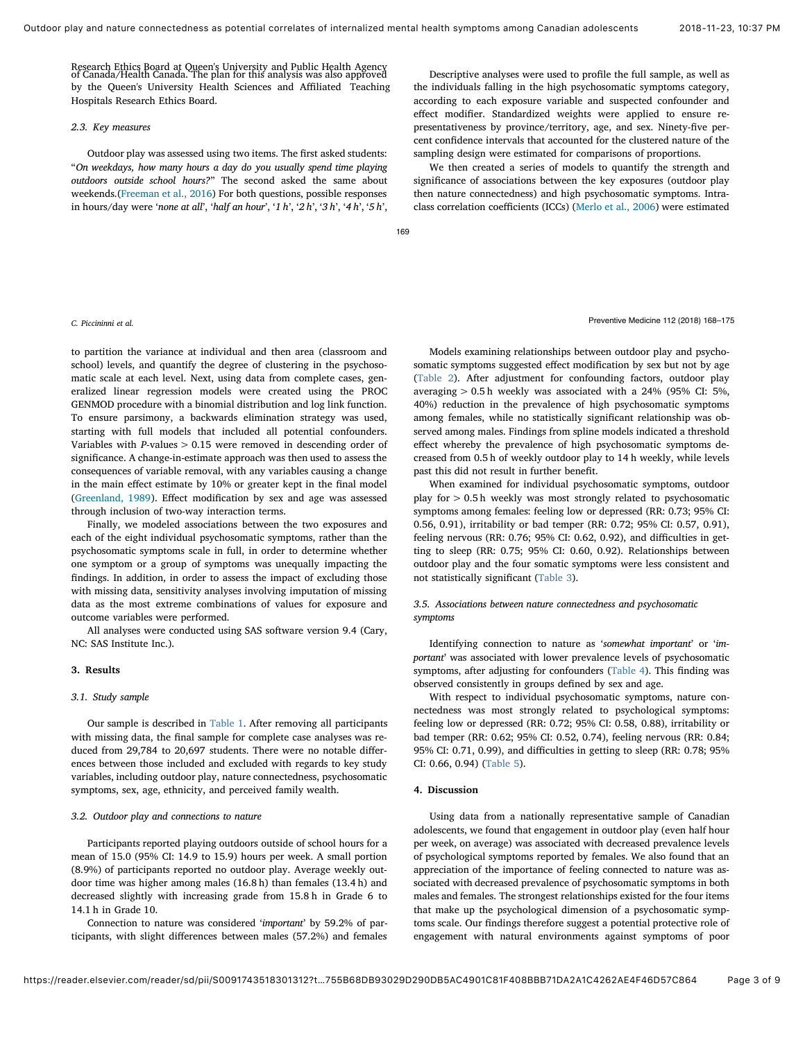Research Ethics Board at Queen's University and Public Health Agency of Canada/Health Canada. The plan for this analysis was also approved by the Queen's University Health Sciences and Affiliated Teaching Hospitals Research Ethics Board.

# 2.3. Key measures

Outdoor play was assessed using two items. The first asked students: "On weekdays, how many hours a day do you usually spend time playing outdoors outside school hours?" The second asked the same about weekends.[\(Freeman](#page-6-0) et al., 2016) For both questions, possible responses in hours/day were 'none at all', 'half an hour', '1 h', '2 h', '3 h', '4 h', '5 h',

to partition the variance at individual and then area (classroom and school) levels, and quantify the degree of clustering in the psychosomatic scale at each level. Next, using data from complete cases, generalized linear regression models were created using the PROC GENMOD procedure with a binomial distribution and log link function. To ensure parsimony, a backwards elimination strategy was used, starting with full models that included all potential confounders. Variables with  $P$ -values  $> 0.15$  were removed in descending order of significance. A change-in-estimate approach was then used to assess the consequences of variable removal, with any variables causing a change in the main effect estimate by 10% or greater kept in the final model [\(Greenland,](#page-6-0) 1989). Effect modification by sex and age was assessed through inclusion of two-way interaction terms.

Finally, we modeled associations between the two exposures and each of the eight individual psychosomatic symptoms, rather than the psychosomatic symptoms scale in full, in order to determine whether one symptom or a group of symptoms was unequally impacting the findings. In addition, in order to assess the impact of excluding those with missing data, sensitivity analyses involving imputation of missing data as the most extreme combinations of values for exposure and outcome variables were performed.

All analyses were conducted using SAS software version 9.4 (Cary, NC: SAS Institute Inc.).

### 3. Results

#### 3.1. Study sample

Our sample is described in [Table](#page-3-0) 1. After removing all participants with missing data, the final sample for complete case analyses was reduced from 29,784 to 20,697 students. There were no notable differences between those included and excluded with regards to key study variables, including outdoor play, nature connectedness, psychosomatic symptoms, sex, age, ethnicity, and perceived family wealth.

#### 3.2. Outdoor play and connections to nature

Participants reported playing outdoors outside of school hours for a mean of 15.0 (95% CI: 14.9 to 15.9) hours per week. A small portion (8.9%) of participants reported no outdoor play. Average weekly outdoor time was higher among males (16.8 h) than females (13.4 h) and decreased slightly with increasing grade from 15.8 h in Grade 6 to 14.1 h in Grade 10.

Connection to nature was considered 'important' by 59.2% of participants, with slight differences between males (57.2%) and females

Descriptive analyses were used to profile the full sample, as well as the individuals falling in the high psychosomatic symptoms category, according to each exposure variable and suspected confounder and effect modifier. Standardized weights were applied to ensure representativeness by province/territory, age, and sex. Ninety-five percent confidence intervals that accounted for the clustered nature of the sampling design were estimated for comparisons of proportions.

We then created a series of models to quantify the strength and significance of associations between the key exposures (outdoor play then nature connectedness) and high psychosomatic symptoms. Intraclass correlation coefficients (ICCs) [\(Merlo](#page-6-0) et al., 2006) were estimated

169

#### C. Piccininni et al. Preventive Medicine 112 (2018) 168–175

Models examining relationships between outdoor play and psychosomatic symptoms suggested effect modification by sex but not by age ([Table](#page-4-0) 2). After adjustment for confounding factors, outdoor play averaging > 0.5 h weekly was associated with a 24% (95% CI: 5%, 40%) reduction in the prevalence of high psychosomatic symptoms among females, while no statistically significant relationship was observed among males. Findings from spline models indicated a threshold effect whereby the prevalence of high psychosomatic symptoms decreased from 0.5 h of weekly outdoor play to 14 h weekly, while levels past this did not result in further benefit.

When examined for individual psychosomatic symptoms, outdoor play for > 0.5 h weekly was most strongly related to psychosomatic symptoms among females: feeling low or depressed (RR: 0.73; 95% CI: 0.56, 0.91), irritability or bad temper (RR: 0.72; 95% CI: 0.57, 0.91), feeling nervous (RR: 0.76; 95% CI: 0.62, 0.92), and difficulties in getting to sleep (RR: 0.75; 95% CI: 0.60, 0.92). Relationships between outdoor play and the four somatic symptoms were less consistent and not statistically significant ([Table](#page-4-0) 3).

# 3.5. Associations between nature connectedness and psychosomatic symptoms

Identifying connection to nature as 'somewhat important' or 'important' was associated with lower prevalence levels of psychosomatic symptoms, after adjusting for confounders [\(Table](#page-4-0) 4). This finding was observed consistently in groups defined by sex and age.

With respect to individual psychosomatic symptoms, nature connectedness was most strongly related to psychological symptoms: feeling low or depressed (RR: 0.72; 95% CI: 0.58, 0.88), irritability or bad temper (RR: 0.62; 95% CI: 0.52, 0.74), feeling nervous (RR: 0.84; 95% CI: 0.71, 0.99), and difficulties in getting to sleep (RR: 0.78; 95% CI: 0.66, 0.94) ([Table](#page-4-0) 5).

#### 4. Discussion

Using data from a nationally representative sample of Canadian adolescents, we found that engagement in outdoor play (even half hour per week, on average) was associated with decreased prevalence levels of psychological symptoms reported by females. We also found that an appreciation of the importance of feeling connected to nature was associated with decreased prevalence of psychosomatic symptoms in both males and females. The strongest relationships existed for the four items that make up the psychological dimension of a psychosomatic symptoms scale. Our findings therefore suggest a potential protective role of engagement with natural environments against symptoms of poor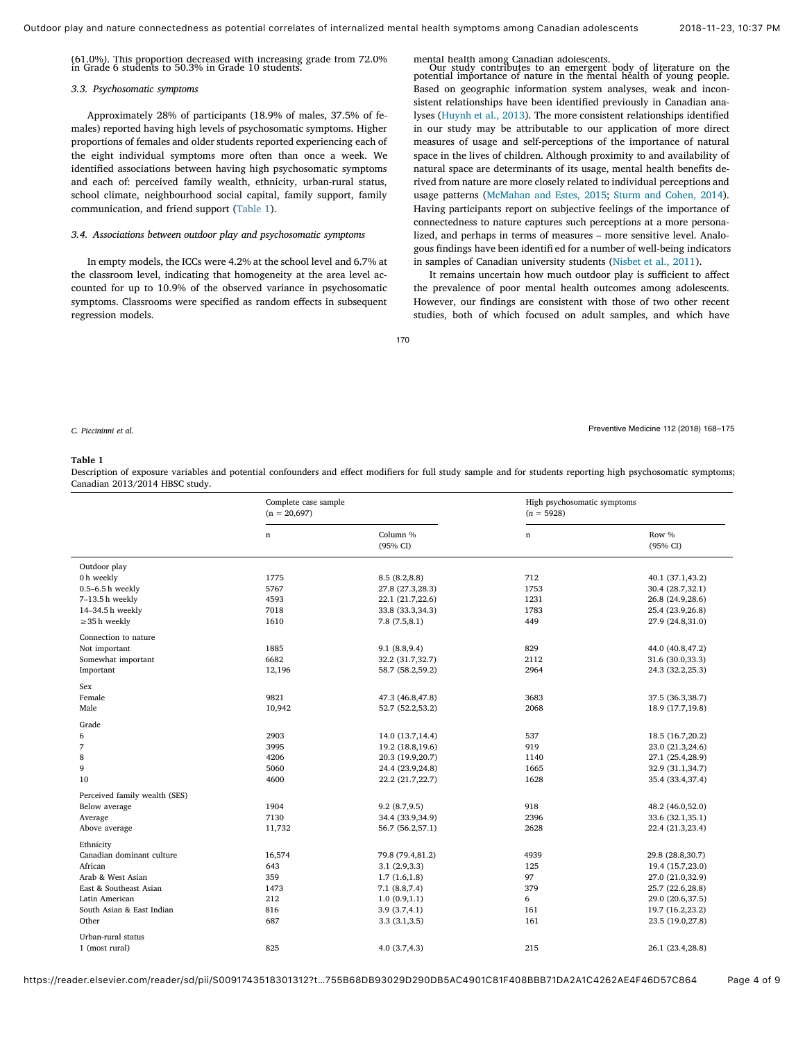(61.0%). This proportion decreased with increasing grade from 72.0% in Grade 6 students to 50.3% in Grade 10 students.

#### 3.3. Psychosomatic symptoms

<span id="page-3-0"></span>Approximately 28% of participants (18.9% of males, 37.5% of females) reported having high levels of psychosomatic symptoms. Higher proportions of females and older students reported experiencing each of the eight individual symptoms more often than once a week. We identified associations between having high psychosomatic symptoms and each of: perceived family wealth, ethnicity, urban-rural status, school climate, neighbourhood social capital, family support, family communication, and friend support [\(Table](#page-3-0) 1).

#### 3.4. Associations between outdoor play and psychosomatic symptoms

In empty models, the ICCs were 4.2% at the school level and 6.7% at the classroom level, indicating that homogeneity at the area level accounted for up to 10.9% of the observed variance in psychosomatic symptoms. Classrooms were specified as random effects in subsequent regression models.

mental health among Canadian adolescents. Our study contributes to an emergent body of literature on the potential importance of nature in the mental health of young people. Based on geographic information system analyses, weak and inconsistent relationships have been identified previously in Canadian analyses ([Huynh](#page-6-0) et al., 2013). The more consistent relationships identified in our study may be attributable to our application of more direct measures of usage and self-perceptions of the importance of natural space in the lives of children. Although proximity to and availability of natural space are determinants of its usage, mental health benefits derived from nature are more closely related to individual perceptions and usage patterns [\(McMahan](#page-6-0) and Estes, 2015; Sturm and [Cohen,](#page-7-0) 2014). Having participants report on subjective feelings of the importance of connectedness to nature captures such perceptions at a more personalized, and perhaps in terms of measures – more sensitive level. Analogous findings have been identifi ed for a number of well-being indicators in samples of Canadian university students [\(Nisbet](#page-6-0) et al., 2011).

It remains uncertain how much outdoor play is sufficient to affect the prevalence of poor mental health outcomes among adolescents. However, our findings are consistent with those of two other recent studies, both of which focused on adult samples, and which have

170

C. Piccininni et al. Preventive Medicine 112 (2018) 168–175

#### Table 1

Description of exposure variables and potential confounders and effect modifiers for full study sample and for students reporting high psychosomatic symptoms; Canadian 2013/2014 HBSC study.

|                               | Complete case sample<br>$(n = 20,697)$ |                      | High psychosomatic symptoms<br>$(n = 5928)$ |                   |
|-------------------------------|----------------------------------------|----------------------|---------------------------------------------|-------------------|
|                               | $\mathbf n$                            | Column %<br>(95% CI) | $\mathbf n$                                 | Row %<br>(95% CI) |
| Outdoor play                  |                                        |                      |                                             |                   |
| 0h weekly                     | 1775                                   | 8.5(8.2, 8.8)        | 712                                         | 40.1 (37.1,43.2)  |
| $0.5-6.5$ h weekly            | 5767                                   | 27.8 (27.3,28.3)     | 1753                                        | 30.4 (28.7,32.1)  |
| 7-13.5h weekly                | 4593                                   | 22.1 (21.7,22.6)     | 1231                                        | 26.8 (24.9,28.6)  |
| 14-34.5 h weekly              | 7018                                   | 33.8 (33.3,34.3)     | 1783                                        | 25.4 (23.9,26.8)  |
| $\geq$ 35 h weekly            | 1610                                   | 7.8(7.5, 8.1)        | 449                                         | 27.9 (24.8,31.0)  |
| Connection to nature          |                                        |                      |                                             |                   |
| Not important                 | 1885                                   | 9.1(8.8, 9.4)        | 829                                         | 44.0 (40.8,47.2)  |
| Somewhat important            | 6682                                   | 32.2 (31.7,32.7)     | 2112                                        | 31.6 (30.0,33.3)  |
| Important                     | 12,196                                 | 58.7 (58.2,59.2)     | 2964                                        | 24.3 (32.2,25.3)  |
| Sex                           |                                        |                      |                                             |                   |
| Female                        | 9821                                   | 47.3 (46.8,47.8)     | 3683                                        | 37.5 (36.3,38.7)  |
| Male                          | 10,942                                 | 52.7 (52.2,53.2)     | 2068                                        | 18.9 (17.7,19.8)  |
| Grade                         |                                        |                      |                                             |                   |
| 6                             | 2903                                   | 14.0 (13.7,14.4)     | 537                                         | 18.5 (16.7,20.2)  |
| 7                             | 3995                                   | 19.2 (18.8,19.6)     | 919                                         | 23.0 (21.3,24.6)  |
| 8                             | 4206                                   | 20.3 (19.9,20.7)     | 1140                                        | 27.1 (25.4,28.9)  |
| 9                             | 5060                                   | 24.4 (23.9,24.8)     | 1665                                        | 32.9 (31.1,34.7)  |
| 10                            | 4600                                   | 22.2 (21.7,22.7)     | 1628                                        | 35.4 (33.4,37.4)  |
| Perceived family wealth (SES) |                                        |                      |                                             |                   |
| Below average                 | 1904                                   | 9.2(8.7, 9.5)        | 918                                         | 48.2 (46.0,52.0)  |
| Average                       | 7130                                   | 34.4 (33.9,34.9)     | 2396                                        | 33.6 (32.1,35.1)  |
| Above average                 | 11,732                                 | 56.7 (56.2,57.1)     | 2628                                        | 22.4 (21.3,23.4)  |
| Ethnicity                     |                                        |                      |                                             |                   |
| Canadian dominant culture     | 16,574                                 | 79.8 (79.4,81.2)     | 4939                                        | 29.8 (28.8,30.7)  |
| African                       | 643                                    | 3.1(2.9,3.3)         | 125                                         | 19.4 (15.7,23.0)  |
| Arab & West Asian             | 359                                    | 1.7(1.6,1.8)         | 97                                          | 27.0 (21.0,32.9)  |
| East & Southeast Asian        | 1473                                   | 7.1(8.8,7.4)         | 379                                         | 25.7 (22.6,28.8)  |
| Latin American                | 212                                    | 1.0(0.9,1.1)         | 6                                           | 29.0 (20.6,37.5)  |
| South Asian & East Indian     | 816                                    | 3.9(3.7, 4.1)        | 161                                         | 19.7 (16.2,23.2)  |
| Other                         | 687                                    | 3.3(3.1,3.5)         | 161                                         | 23.5 (19.0,27.8)  |
| Urban-rural status            |                                        |                      |                                             |                   |
| 1 (most rural)                | 825                                    | 4.0(3.7, 4.3)        | 215                                         | 26.1 (23.4,28.8)  |
|                               |                                        |                      |                                             |                   |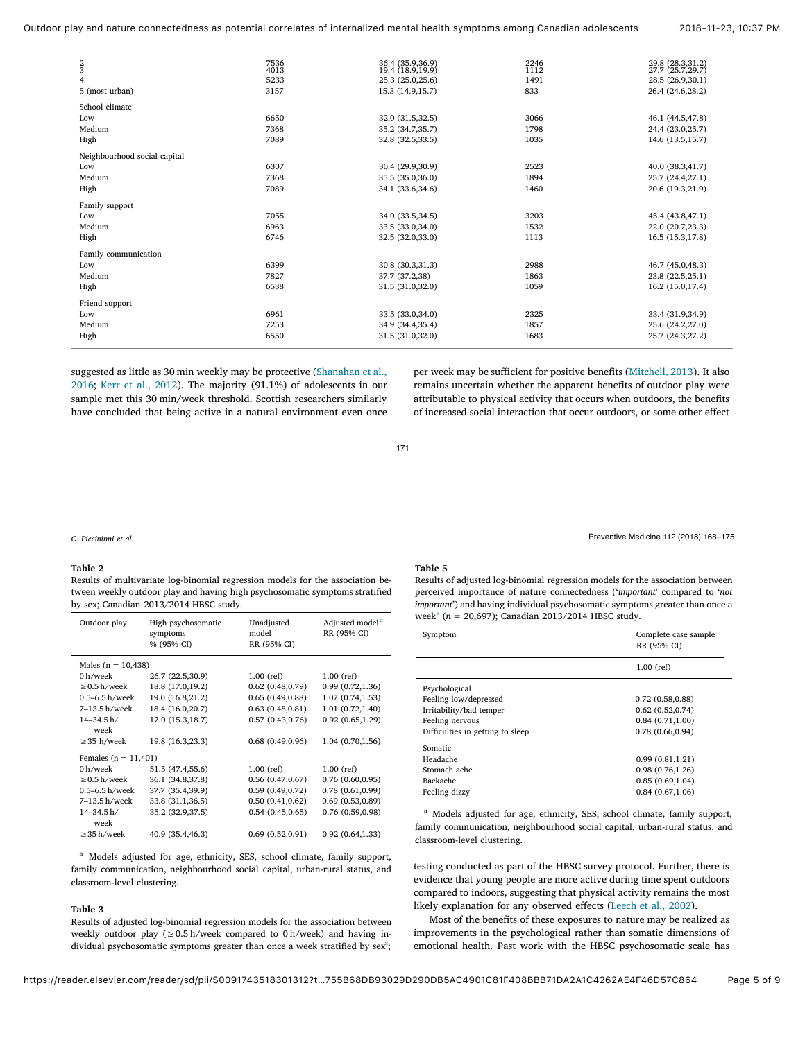Outdoor play and nature connectedness as potential correlates of internalized mental health symptoms among Canadian adolescents 2018-11-23, 10:37 PM

<span id="page-4-0"></span>

| $\frac{2}{3}$                | 7536<br>4013 | 36.4 (35.9,36.9)<br>19.4 (18.9,19.9) | 2246 | 29.8 (28.3,31.2)<br>27.7 (25.7,29.7) |
|------------------------------|--------------|--------------------------------------|------|--------------------------------------|
| $\overline{\mathbf{4}}$      | 5233         | 25.3 (25.0, 25.6)                    | 1491 | 28.5 (26.9,30.1)                     |
| 5 (most urban)               | 3157         | 15.3 (14.9,15.7)                     | 833  | 26.4 (24.6,28.2)                     |
| School climate               |              |                                      |      |                                      |
| Low                          | 6650         | 32.0 (31.5,32.5)                     | 3066 | 46.1 (44.5,47.8)                     |
| Medium                       | 7368         | 35.2 (34.7,35.7)                     | 1798 | 24.4 (23.0, 25.7)                    |
| High                         | 7089         | 32.8 (32.5, 33.5)                    | 1035 | 14.6 (13.5,15.7)                     |
| Neighbourhood social capital |              |                                      |      |                                      |
| Low                          | 6307         | 30.4 (29.9,30.9)                     | 2523 | 40.0 (38.3,41.7)                     |
| Medium                       | 7368         | 35.5 (35.0,36.0)                     | 1894 | 25.7 (24.4,27.1)                     |
| High                         | 7089         | 34.1 (33.6,34.6)                     | 1460 | 20.6 (19.3,21.9)                     |
| Family support               |              |                                      |      |                                      |
| Low                          | 7055         | 34.0 (33.5,34.5)                     | 3203 | 45.4 (43.8, 47.1)                    |
| Medium                       | 6963         | 33.5 (33.0,34.0)                     | 1532 | 22.0 (20.7,23.3)                     |
| High                         | 6746         | 32.5 (32.0,33.0)                     | 1113 | 16.5 (15.3,17.8)                     |
| Family communication         |              |                                      |      |                                      |
| Low                          | 6399         | 30.8 (30.3,31.3)                     | 2988 | 46.7 (45.0,48.3)                     |
| Medium                       | 7827         | 37.7 (37.2,38)                       | 1863 | 23.8 (22.5,25.1)                     |
| High                         | 6538         | 31.5 (31.0,32.0)                     | 1059 | 16.2 (15.0, 17.4)                    |
| Friend support               |              |                                      |      |                                      |
| Low                          | 6961         | 33.5 (33.0,34.0)                     | 2325 | 33.4 (31.9,34.9)                     |
| Medium                       | 7253         | 34.9 (34.4,35.4)                     | 1857 | 25.6 (24.2,27.0)                     |
| High                         | 6550         | 31.5 (31.0,32.0)                     | 1683 | 25.7 (24.3,27.2)                     |
|                              |              |                                      |      |                                      |

suggested as little as 30 min weekly may be protective ([Shanahan](#page-7-0) et al., [2016](#page-7-0); Kerr et al., [2012\)](#page-6-0). The majority (91.1%) of adolescents in our sample met this 30 min/week threshold. Scottish researchers similarly have concluded that being active in a natural environment even once

per week may be sufficient for positive benefits ([Mitchell,](#page-6-0) 2013). It also remains uncertain whether the apparent benefits of outdoor play were attributable to physical activity that occurs when outdoors, the benefits of increased social interaction that occur outdoors, or some other effect

171

C. Piccininni et al. Preventive Medicine 112 (2018) 168–175

#### Table 2

Results of multivariate log-binomial regression models for the association between weekly outdoor play and having high psychosomatic symptoms stratified by sex; Canadian 2013/2014 HBSC study.

| Outdoor play             | High psychosomatic<br>symptoms<br>% (95% CI) | Unadjusted<br>model<br>RR (95% CI) | Adjusted model <sup>a</sup><br>RR (95% CI) |  |  |
|--------------------------|----------------------------------------------|------------------------------------|--------------------------------------------|--|--|
| Males ( $n = 10,438$ )   |                                              |                                    |                                            |  |  |
| 0 h/week                 | 26.7 (22.5,30.9)                             | $1.00$ (ref)                       | $1.00$ (ref)                               |  |  |
| $\geq$ 0.5 h/week        | 18.8 (17.0,19.2)                             | 0.62(0.48, 0.79)                   | 0.99(0.72, 1.36)                           |  |  |
| $0.5 - 6.5$ h/week       | 19.0 (16.8,21.2)                             | 0.65(0.49, 0.88)                   | 1.07(0.74, 1.53)                           |  |  |
| 7-13.5 h/week            | 18.4 (16.0,20.7)                             | 0.63(0.48, 0.81)                   | 1.01(0.72, 1.40)                           |  |  |
| $14 - 34.5 h/$<br>week   | 17.0 (15.3,18.7)                             | 0.57(0.43, 0.76)                   | 0.92(0.65, 1.29)                           |  |  |
| $\geq$ 35 h/week         | 19.8 (16.3,23.3)                             | 0.68(0.49, 0.96)                   | 1.04 (0.70,1.56)                           |  |  |
| Females ( $n = 11,401$ ) |                                              |                                    |                                            |  |  |
| 0 h/week                 | 51.5 (47.4,55.6)                             | $1.00$ (ref)                       | $1.00$ (ref)                               |  |  |
| $\geq$ 0.5 h/week        | 36.1 (34.8,37.8)                             | 0.56(0.47, 0.67)                   | 0.76(0.60, 0.95)                           |  |  |
| $0.5 - 6.5$ h/week       | 37.7 (35.4,39.9)                             | 0.59(0.49, 0.72)                   | 0.78(0.61, 0.99)                           |  |  |
| 7-13.5 h/week            | 33.8 (31.1,36.5)                             | 0.50(0.41, 0.62)                   | 0.69(0.53, 0.89)                           |  |  |
| $14 - 34.5 h/$<br>week   | 35.2 (32.9,37.5)                             | 0.54(0.45, 0.65)                   | 0.76(0.59, 0.98)                           |  |  |
| $\geq$ 35 h/week         | 40.9 (35.4,46.3)                             | 0.69(0.52,0.91)                    | 0.92(0.64, 1.33)                           |  |  |

<sup>a</sup> Models adjusted for age, ethnicity, SES, school climate, family support, family communication, neighbourhood social capital, urban-rural status, and classroom-level clustering.

### Table 3

Results of adjusted log-binomial regression models for the association between weekly outdoor play ( $\geq 0.5$  h/week compared to 0 h/week) and having individual psychosomatic symptoms greater than once a week stratified by  $sex^2$ ;

#### Table 5

Results of adjusted log-binomial regression models for the association between perceived importance of nature connectedness ('important' compared to 'not important') and having individual psychosomatic symptoms greater than once a week<sup>a</sup> ( $n = 20,697$ ); Canadian 2013/2014 HBSC study.

| Symptom                          | Complete case sample<br>RR (95% CI) |  |
|----------------------------------|-------------------------------------|--|
|                                  | $1.00$ (ref)                        |  |
| Psychological                    |                                     |  |
| Feeling low/depressed            | 0.72(0.58, 0.88)                    |  |
| Irritability/bad temper          | 0.62(0.52, 0.74)                    |  |
| Feeling nervous                  | 0.84(0.71, 1.00)                    |  |
| Difficulties in getting to sleep | 0.78(0.66.0.94)                     |  |
| Somatic                          |                                     |  |
| Headache                         | 0.99(0.81, 1.21)                    |  |
| Stomach ache                     | 0.98(0.76, 1.26)                    |  |
| Backache                         | 0.85(0.69,1.04)                     |  |
| Feeling dizzy                    | 0.84(0.67.1.06)                     |  |

<sup>a</sup> Models adjusted for age, ethnicity, SES, school climate, family support, family communication, neighbourhood social capital, urban-rural status, and classroom-level clustering.

testing conducted as part of the HBSC survey protocol. Further, there is evidence that young people are more active during time spent outdoors compared to indoors, suggesting that physical activity remains the most likely explanation for any observed effects ([Leech](#page-6-0) et al., 2002).

Most of the benefits of these exposures to nature may be realized as improvements in the psychological rather than somatic dimensions of emotional health. Past work with the HBSC psychosomatic scale has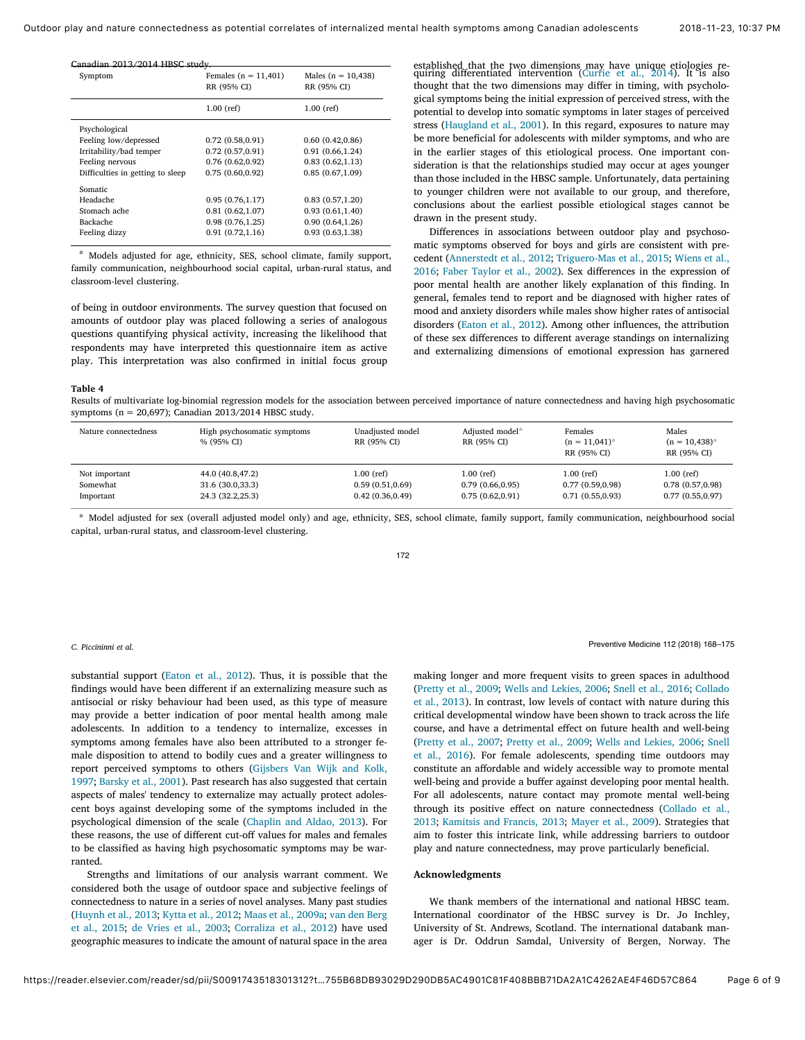<span id="page-5-0"></span>Canadian 2013/2014 HBSC study.  $Symptom$  Females  $(n = 11,401)$ RR (95% CI) Males ( $n = 10,438$ ) RR (95% CI) 1.00 (ref) 1.00 (ref) Psychological Feeling low/depressed 0.72 (0.58,0.91) 0.60 (0.42,0.86) Irritability/bad temper 0.72 (0.57,0.91) 0.91 (0.66,1.24) Feeling nervous 0.76 (0.62,0.92) 0.83 (0.62,1.13) Difficulties in getting to sleep 0.75 (0.60,0.92) 0.85 (0.67,1.09) Somatic Headache 0.95 (0.76,1.17) 0.83 (0.57,1.20) Stomach ache 0.81 (0.62,1.07) 0.93 (0.61,1.40)<br>Backache 0.98 (0.76.1.25) 0.90 (0.64.1.26)  $0.90 (0.64.1.26)$ Feeling dizzy 0.91 (0.72,1.16) 0.93 (0.63,1.38)

<sup>a</sup> Models adjusted for age, ethnicity, SES, school climate, family support, family communication, neighbourhood social capital, urban-rural status, and classroom-level clustering.

of being in outdoor environments. The survey question that focused on amounts of outdoor play was placed following a series of analogous questions quantifying physical activity, increasing the likelihood that respondents may have interpreted this questionnaire item as active play. This interpretation was also confirmed in initial focus group

established that the two dimensions may have unique etiologies re- quiring differentiated intervention [\(Currie](#page-6-0) et al., 2014). It is also thought that the two dimensions may differ in timing, with psychological symptoms being the initial expression of perceived stress, with the potential to develop into somatic symptoms in later stages of perceived stress ([Haugland](#page-6-0) et al., 2001). In this regard, exposures to nature may be more beneficial for adolescents with milder symptoms, and who are in the earlier stages of this etiological process. One important consideration is that the relationships studied may occur at ages younger than those included in the HBSC sample. Unfortunately, data pertaining to younger children were not available to our group, and therefore, conclusions about the earliest possible etiological stages cannot be drawn in the present study.

Differences in associations between outdoor play and psychosomatic symptoms observed for boys and girls are consistent with precedent ([Annerstedt](#page-5-0) et al., 2012; [Triguero-Mas](#page-7-0) et al., 2015; [Wiens](#page-7-0) et al., [2016;](#page-7-0) Faber [Taylor](#page-6-0) et al., 2002). Sex differences in the expression of poor mental health are another likely explanation of this finding. In general, females tend to report and be diagnosed with higher rates of mood and anxiety disorders while males show higher rates of antisocial disorders [\(Eaton](#page-6-0) et al., 2012). Among other influences, the attribution of these sex differences to different average standings on internalizing and externalizing dimensions of emotional expression has garnered

#### Table 4

Results of multivariate log-binomial regression models for the association between perceived importance of nature connectedness and having high psychosomatic symptoms (n = 20,697); Canadian 2013/2014 HBSC study.

| Nature connectedness | High psychosomatic symptoms<br>% (95% CI) | Unadjusted model<br>RR (95% CI) | Adjusted model <sup>a</sup><br>RR (95% CI) | Females<br>$(n = 11.041)^{a}$<br>RR (95% CI) | Males<br>$(n = 10,438)^{a}$<br>RR (95% CI) |
|----------------------|-------------------------------------------|---------------------------------|--------------------------------------------|----------------------------------------------|--------------------------------------------|
| Not important        | 44.0 (40.8,47.2)                          | 1.00 (ref)                      | $1.00$ (ref)                               | $1.00$ (ref)                                 | $1.00$ (ref)                               |
| Somewhat             | 31.6 (30.0, 33.3)                         | 0.59(0.51, 0.69)                | 0.79(0.66.0.95)                            | 0.77(0.59, 0.98)                             | 0.78(0.57,0.98)                            |
| Important            | 24.3 (32.2, 25.3)                         | 0.42(0.36, 0.49)                | 0.75(0.62, 0.91)                           | 0.71(0.55, 0.93)                             | 0.77(0.55,0.97)                            |

<sup>a</sup> Model adjusted for sex (overall adjusted model only) and age, ethnicity, SES, school climate, family support, family communication, neighbourhood social capital, urban-rural status, and classroom-level clustering.

# 172

substantial support ([Eaton](#page-6-0) et al., 2012). Thus, it is possible that the findings would have been different if an externalizing measure such as antisocial or risky behaviour had been used, as this type of measure may provide a better indication of poor mental health among male adolescents. In addition to a tendency to internalize, excesses in symptoms among females have also been attributed to a stronger female disposition to attend to bodily cues and a greater willingness to report perceived symptoms to others [\(Gijsbers](#page-6-0) Van Wijk and Kolk, [1997](#page-6-0); [Barsky](#page-5-0) et al., 2001). Past research has also suggested that certain aspects of males' tendency to externalize may actually protect adolescent boys against developing some of the symptoms included in the psychological dimension of the scale ([Chaplin](#page-6-0) and Aldao, 2013). For these reasons, the use of different cut-off values for males and females to be classified as having high psychosomatic symptoms may be warranted.

Strengths and limitations of our analysis warrant comment. We considered both the usage of outdoor space and subjective feelings of connectedness to nature in a series of novel analyses. Many past studies [\(Huynh](#page-6-0) et al., 2013; [Kytta](#page-6-0) et al., 2012; Maas et al., [2009a;](#page-6-0) van den [Berg](#page-7-0) et al., [2015;](#page-7-0) de [Vries](#page-6-0) et al., 2003; [Corraliza](#page-6-0) et al., 2012) have used geographic measures to indicate the amount of natural space in the area

# C. Piccininni et al. Preventive Medicine 112 (2018) 168–175

making longer and more frequent visits to green spaces in adulthood ([Pretty](#page-7-0) et al., 2009; Wells and [Lekies,](#page-7-0) 2006; Snell et al., [2016;](#page-7-0) [Collado](#page-6-0) et al., [2013\)](#page-6-0). In contrast, low levels of contact with nature during this critical developmental window have been shown to track across the life course, and have a detrimental effect on future health and well-being ([Pretty](#page-7-0) et al., 2007; [Pretty](#page-7-0) et al., 2009; Wells and [Lekies,](#page-7-0) 2006; [Snell](#page-7-0) et al., [2016](#page-7-0)). For female adolescents, spending time outdoors may constitute an affordable and widely accessible way to promote mental well-being and provide a buffer against developing poor mental health. For all adolescents, nature contact may promote mental well-being through its positive effect on nature connectedness [\(Collado](#page-6-0) et al., [2013;](#page-6-0) [Kamitsis](#page-6-0) and Francis, 2013; [Mayer](#page-6-0) et al., 2009). Strategies that aim to foster this intricate link, while addressing barriers to outdoor play and nature connectedness, may prove particularly beneficial.

# Acknowledgments

We thank members of the international and national HBSC team. International coordinator of the HBSC survey is Dr. Jo Inchley, University of St. Andrews, Scotland. The international databank manager is Dr. Oddrun Samdal, University of Bergen, Norway. The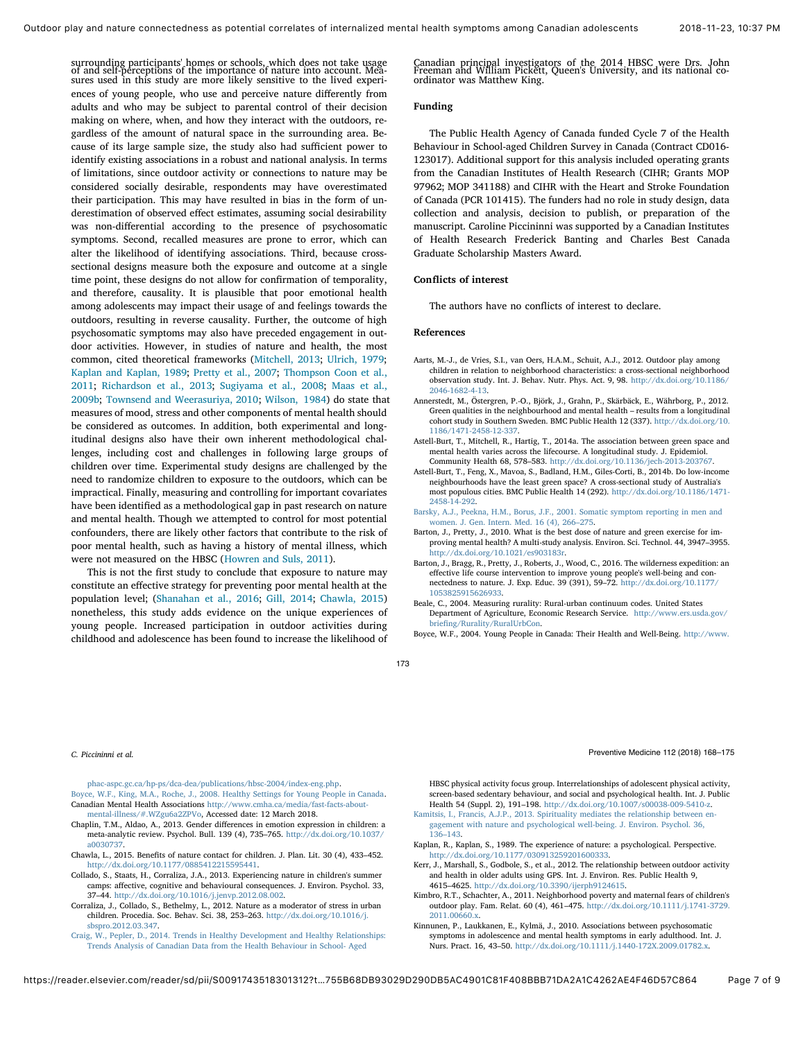<span id="page-6-0"></span>surrounding participants' homes or schools, which does not take usage of and self-perceptions of the importance of nature into account. Mea- sures used in this study are more likely sensitive to the lived experiences of young people, who use and perceive nature differently from adults and who may be subject to parental control of their decision making on where, when, and how they interact with the outdoors, regardless of the amount of natural space in the surrounding area. Because of its large sample size, the study also had sufficient power to identify existing associations in a robust and national analysis. In terms of limitations, since outdoor activity or connections to nature may be considered socially desirable, respondents may have overestimated their participation. This may have resulted in bias in the form of underestimation of observed effect estimates, assuming social desirability was non-differential according to the presence of psychosomatic symptoms. Second, recalled measures are prone to error, which can alter the likelihood of identifying associations. Third, because crosssectional designs measure both the exposure and outcome at a single time point, these designs do not allow for confirmation of temporality, and therefore, causality. It is plausible that poor emotional health among adolescents may impact their usage of and feelings towards the outdoors, resulting in reverse causality. Further, the outcome of high psychosomatic symptoms may also have preceded engagement in outdoor activities. However, in studies of nature and health, the most common, cited theoretical frameworks [\(Mitchell,](#page-6-0) 2013; [Ulrich,](#page-7-0) 1979; Kaplan and [Kaplan,](#page-6-0) 1989; [Pretty](#page-7-0) et al., 2007; [Thompson](#page-7-0) Coon et al., [2011](#page-7-0); [Richardson](#page-7-0) et al., 2013; [Sugiyama](#page-7-0) et al., 2008; [Maas](#page-6-0) et al., [2009b;](#page-6-0) Townsend and [Weerasuriya,](#page-7-0) 2010; [Wilson,](#page-7-0) [1984](#page-7-0)) do state that measures of mood, stress and other components of mental health should be considered as outcomes. In addition, both experimental and longitudinal designs also have their own inherent methodological challenges, including cost and challenges in following large groups of children over time. Experimental study designs are challenged by the need to randomize children to exposure to the outdoors, which can be impractical. Finally, measuring and controlling for important covariates have been identified as a methodological gap in past research on nature and mental health. Though we attempted to control for most potential confounders, there are likely other factors that contribute to the risk of poor mental health, such as having a history of mental illness, which were not measured on the HBSC ([Howren](#page-6-0) and Suls, 2011).

This is not the first study to conclude that exposure to nature may constitute an effective strategy for preventing poor mental health at the population level; [\(Shanahan](#page-7-0) et al., 2016; Gill, [2014](#page-6-0); [Chawla,](#page-6-0) 2015) nonetheless, this study adds evidence on the unique experiences of young people. Increased participation in outdoor activities during childhood and adolescence has been found to increase the likelihood of Canadian principal investigators of the 2014 HBSC were Drs. John Freeman and William Pickett, Queen's University, and its national co- ordinator was Matthew King.

# Funding

The Public Health Agency of Canada funded Cycle 7 of the Health Behaviour in School-aged Children Survey in Canada (Contract CD016- 123017). Additional support for this analysis included operating grants from the Canadian Institutes of Health Research (CIHR; Grants MOP 97962; MOP 341188) and CIHR with the Heart and Stroke Foundation of Canada (PCR 101415). The funders had no role in study design, data collection and analysis, decision to publish, or preparation of the manuscript. Caroline Piccininni was supported by a Canadian Institutes of Health Research Frederick Banting and Charles Best Canada Graduate Scholarship Masters Award.

# Conflicts of interest

The authors have no conflicts of interest to declare.

#### References

- Aarts, M.-J., de Vries, S.I., van Oers, H.A.M., Schuit, A.J., 2012. Outdoor play among children in relation to neighborhood characteristics: a cross-sectional neighborhood observation study. Int. J. Behav. Nutr. Phys. Act. 9, 98. http://dx.doi.org/10.1186/ 2046-1682-4-13.
- Annerstedt, M., Östergren, P.-O., Björk, J., Grahn, P., Skärbäck, E., Währborg, P., 2012. Green qualities in the neighbourhood and mental health – results from a longitudinal cohort study in Southern Sweden. BMC Public Health 12 (337). http://dx.doi.org/10. 1186/1471-2458-12-337.
- Astell-Burt, T., Mitchell, R., Hartig, T., 2014a. The association between green space and mental health varies across the lifecourse. A longitudinal study. J. Epidemiol. Community Health 68, 578–583. http://dx.doi.org/10.1136/jech-2013-203767.
- Astell-Burt, T., Feng, X., Mavoa, S., Badland, H.M., Giles-Corti, B., 2014b. Do low-income neighbourhoods have the least green space? A cross-sectional study of Australia's most populous cities. BMC Public Health 14 (292). http://dx.doi.org/10.1186/1471- 2458-14-292.
- Barsky, A.J., Peekna, H.M., Borus, J.F., 2001. Somatic symptom reporting in men and women. J. Gen. Intern. Med. 16 (4), 266–275.
- Barton, J., Pretty, J., 2010. What is the best dose of nature and green exercise for improving mental health? A multi-study analysis. Environ. Sci. Technol. 44, 3947–3955. http://dx.doi.org/10.1021/es903183r.
- Barton, J., Bragg, R., Pretty, J., Roberts, J., Wood, C., 2016. The wilderness expedition: an effective life course intervention to improve young people's well-being and connectedness to nature. J. Exp. Educ. 39 (391), 59–72. http://dx.doi.org/10.1177/ 1053825915626933.
- Beale, C., 2004. Measuring rurality: Rural-urban continuum codes. United States Department of Agriculture, Economic Research Service. http://www.ers.usda.gov/ briefing/Rurality/RuralUrbCo.
- Boyce, W.F., 2004. Young People in Canada: Their Health and Well-Being. http://www.

173

### C. Piccininni et al. Preventive Medicine 112 (2018) 168–175

phac-aspc.gc.ca/hp-ps/dca-dea/publications/hbsc-2004/index-eng.php. Boyce, W.F., King, M.A., Roche, J., 2008. Healthy Settings for Young People in Canada. Canadian Mental Health Associations http://www.cmha.ca/media/fast-facts-about-

mental-illness/#.WZgu6a2ZPVo, Accessed date: 12 March 2018.

- Chaplin, T.M., Aldao, A., 2013. Gender differences in emotion expression in children: a meta-analytic review. Psychol. Bull. 139 (4), 735–765. http://dx.doi.org/10.1037/ a0030737.
- Chawla, L., 2015. Benefits of nature contact for children. J. Plan. Lit. 30 (4), 433–452. http://dx.doi.org/10.1177/0885412215595441.
- Collado, S., Staats, H., Corraliza, J.A., 2013. Experiencing nature in children's summer camps: affective, cognitive and behavioural consequences. J. Environ. Psychol. 33, 37–44. http://dx.doi.org/10.1016/j.jenvp.2012.08.002.
- Corraliza, J., Collado, S., Bethelmy, L., 2012. Nature as a moderator of stress in urban children. Procedia. Soc. Behav. Sci. 38, 253–263. http://dx.doi.org/10.1016/j. sbspro.2012.03.347.

Craig, W., Pepler, D., 2014. Trends in Healthy Development and Healthy Relationships: Trends Analysis of Canadian Data from the Health Behaviour in School- Aged

HBSC physical activity focus group. Interrelationships of adolescent physical activity, screen-based sedentary behaviour, and social and psychological health. Int. J. Public Health 54 (Suppl. 2), 191–198. http://dx.doi.org/10.1007/s00038-009-5410-z.

- Kamitsis, I., Francis, A.J.P., 2013. Spirituality mediates the relationship between engagement with nature and psychological well-being. J. Environ. Psychol. 36, 136–143.
- Kaplan, R., Kaplan, S., 1989. The experience of nature: a psychological. Perspective. http://dx.doi.org/10.1177/030913259201600333.
- Kerr, J., Marshall, S., Godbole, S., et al., 2012. The relationship between outdoor activity and health in older adults using GPS. Int. J. Environ. Res. Public Health 9, 4615–4625. http://dx.doi.org/10.3390/ijerph9124615.
- Kimbro, R.T., Schachter, A., 2011. Neighborhood poverty and maternal fears of children's outdoor play. Fam. Relat. 60 (4), 461–475. http://dx.doi.org/10.1111/j.1741-3729. 2011.00660.x.
- Kinnunen, P., Laukkanen, E., Kylmä, J., 2010. Associations between psychosomatic symptoms in adolescence and mental health symptoms in early adulthood. Int. J. Nurs. Pract. 16, 43–50. http://dx.doi.org/10.1111/j.1440-172X.2009.01782.x.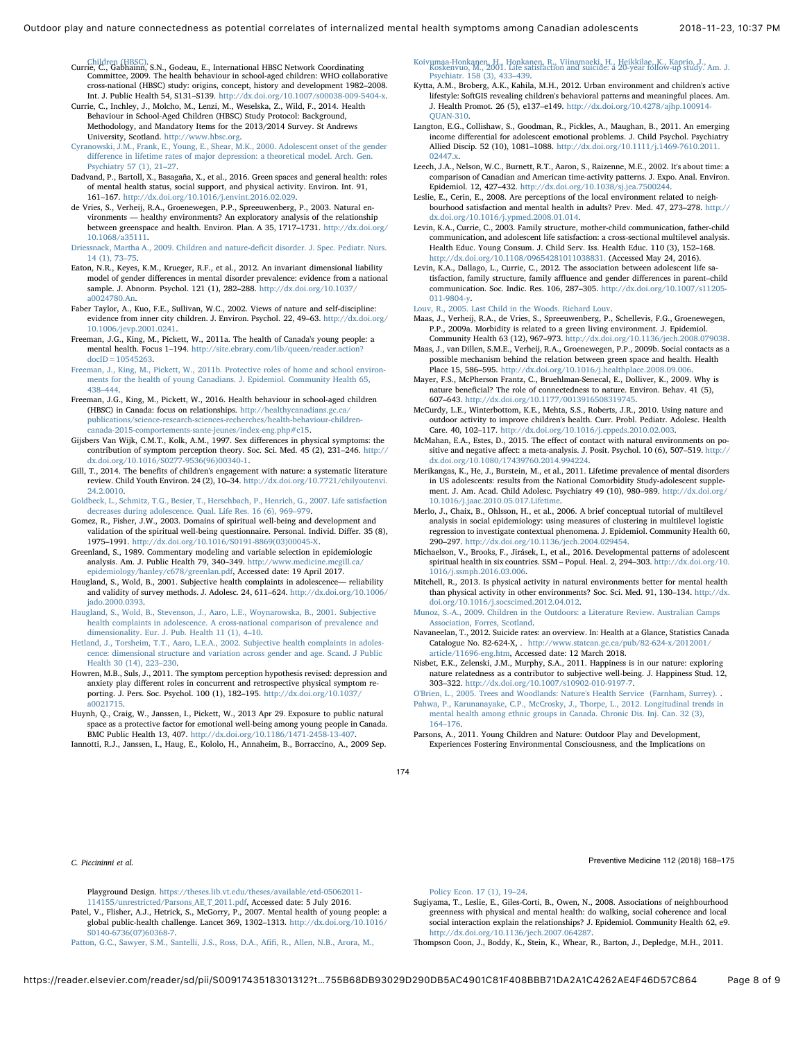- Children (HBSC).<br>Currie, C., Gabhainn, S.N., Godeau, E., International HBSC Network Coordinating<br>Committee, 2009. The health behaviour in school-aged children: WHO collaborative cross-national (HBSC) study: origins, concept, history and development 1982–2008. Int. J. Public Health 54, S131–S139. http://dx.doi.org/10.1007/s00038-009-5404-x.
- Currie, C., Inchley, J., Molcho, M., Lenzi, M., Weselska, Z., Wild, F., 2014. Health Behaviour in School-Aged Children (HBSC) Study Protocol: Background, Methodology, and Mandatory Items for the 2013/2014 Survey. St Andrews University, Scotland. http://www.hbsc.org.
- <span id="page-7-0"></span>Cyranowski, J.M., Frank, E., Young, E., Shear, M.K., 2000. Adolescent onset of the gender difference in lifetime rates of major depression: a theoretical model. Arch. Gen. Psychiatry 57 (1), 21–27.
- Dadvand, P., Bartoll, X., Basagaña, X., et al., 2016. Green spaces and general health: roles of mental health status, social support, and physical activity. Environ. Int. 91, 161–167. http://dx.doi.org/10.1016/j.envint.2016.02.029.
- de Vries, S., Verheij, R.A., Groenewegen, P.P., Spreeuwenberg, P., 2003. Natural environments — healthy environments? An exploratory analysis of the relationship between greenspace and health. Environ. Plan. A 35, 1717–1731. http://dx.doi.org/ 10.1068/a35111.
- Driessnack, Martha A., 2009. Children and nature-deficit disorder. J. Spec. Pediatr. Nurs. 14 (1), 73–75.
- Eaton, N.R., Keyes, K.M., Krueger, R.F., et al., 2012. An invariant dimensional liability model of gender differences in mental disorder prevalence: evidence from a national sample. J. Abnorm. Psychol. 121 (1), 282–288. http://dx.doi.org/10.1037/ a0024780.An.
- Faber Taylor, A., Kuo, F.E., Sullivan, W.C., 2002. Views of nature and self-discipline: evidence from inner city children. J. Environ. Psychol. 22, 49–63. http://dx.doi.org/ 10.1006/jevp.2001.0241.
- Freeman, J.G., King, M., Pickett, W., 2011a. The health of Canada's young people: a mental health. Focus 1–194. http://site.ebrary.com/lib/queen/reader.action? docID=10545263.
- Freeman, J., King, M., Pickett, W., 2011b. Protective roles of home and school environments for the health of young Canadians. J. Epidemiol. Community Health 65, 438–444.
- Freeman, J.G., King, M., Pickett, W., 2016. Health behaviour in school-aged children (HBSC) in Canada: focus on relationships. http://healthycanadians.gc.ca/ publications/science-research-sciences-recherches/health-behaviour-childrencanada-2015-comportements-sante-jeunes/index-eng.php#c15.
- Gijsbers Van Wijk, C.M.T., Kolk, A.M., 1997. Sex differences in physical symptoms: the contribution of symptom perception theory. Soc. Sci. Med. 45 (2), 231–246. http:// dx.doi.org/10.1016/S0277-9536(96)00340-1.
- Gill, T., 2014. The benefits of children's engagement with nature: a systematic literature review. Child Youth Environ. 24 (2), 10–34. http://dx.doi.org/10.7721/chilyoutenvi. 24.2.0010.
- Goldbeck, L., Schmitz, T.G., Besier, T., Herschbach, P., Henrich, G., 2007. Life satisfaction decreases during adolescence. Qual. Life Res. 16 (6), 969–979.
- Gomez, R., Fisher, J.W., 2003. Domains of spiritual well-being and development and validation of the spiritual well-being questionnaire. Personal. Individ. Differ. 35 (8), 1975–1991. http://dx.doi.org/10.1016/S0191-8869(03)00045-X.
- Greenland, S., 1989. Commentary modeling and variable selection in epidemiologic analysis. Am. J. Public Health 79, 340–349. http://www.medicine.mcgill.ca/ epidemiology/hanley/c678/greenlan.pdf, Accessed date: 19 April 2017.
- Haugland, S., Wold, B., 2001. Subjective health complaints in adolescence— reliability and validity of survey methods. J. Adolesc. 24, 611–624. http://dx.doi.org/10.1006/ jado.2000.0393.
- Haugland, S., Wold, B., Stevenson, J., Aaro, L.E., Woynarowska, B., 2001. Subjective health complaints in adolescence. A cross-national comparison of prevalence and dimensionality. Eur. J. Pub. Health 11 (1), 4–10.
- Hetland, J., Torsheim, T.T., Aaro, L.E.A., 2002. Subjective health complaints in adolescence: dimensional structure and variation across gender and age. Scand. J Public Health 30 (14), 223–230.
- Howren, M.B., Suls, J., 2011. The symptom perception hypothesis revised: depression and anxiety play different roles in concurrent and retrospective physical symptom reporting. J. Pers. Soc. Psychol. 100 (1), 182–195. http://dx.doi.org/10.1037/ a0021715.
- Huynh, Q., Craig, W., Janssen, I., Pickett, W., 2013 Apr 29. Exposure to public natural space as a protective factor for emotional well-being among young people in Canada. BMC Public Health 13, 407. http://dx.doi.org/10.1186/1471-2458-13-407.
- Iannotti, R.J., Janssen, I., Haug, E., Kololo, H., Annaheim, B., Borraccino, A., 2009 Sep.

Koivumaa-Honkanen, H., Honkanen, R., Viinamaeki, H., Heikkilae, K., Kaprio, J., Koskenvuo, M., 2001. Life satisfaction and suicide: a 20-year follow-up study. Am. J. Psychiatr. 158 (3), 433–439.

- Kytta, A.M., Broberg, A.K., Kahila, M.H., 2012. Urban environment and children's active lifestyle: SoftGIS revealing children's behavioral patterns and meaningful places. Am. J. Health Promot. 26 (5), e137–e149. http://dx.doi.org/10.4278/ajhp.100914- QUAN-310.
- Langton, E.G., Collishaw, S., Goodman, R., Pickles, A., Maughan, B., 2011. An emerging income differential for adolescent emotional problems. J. Child Psychol. Psychiatry Allied Discip. 52 (10), 1081–1088. http://dx.doi.org/10.1111/j.1469-7610.2011. 02447.x.
- Leech, J.A., Nelson, W.C., Burnett, R.T., Aaron, S., Raizenne, M.E., 2002. It's about time: a comparison of Canadian and American time-activity patterns. J. Expo. Anal. Environ. Epidemiol. 12, 427–432. http://dx.doi.org/10.1038/sj.jea.7500244.
- Leslie, E., Cerin, E., 2008. Are perceptions of the local environment related to neighbourhood satisfaction and mental health in adults? Prev. Med. 47, 273–278. http:// dx.doi.org/10.1016/j.ypmed.2008.01.014.
- Levin, K.A., Currie, C., 2003. Family structure, mother-child communication, father-child communication, and adolescent life satisfaction: a cross-sectional multilevel analysis. Health Educ. Young Consum. J. Child Serv. Iss. Health Educ. 110 (3), 152–168. http://dx.doi.org/10.1108/09654281011038831. (Accessed May 24, 2016).
- Levin, K.A., Dallago, L., Currie, C., 2012. The association between adolescent life satisfaction, family structure, family affluence and gender differences in parent–child communication. Soc. Indic. Res. 106, 287–305. http://dx.doi.org/10.1007/s11205- 011-9804-y.

Louv, R., 2005. Last Child in the Woods. Richard Louv.

- Maas, J., Verheij, R.A., de Vries, S., Spreeuwenberg, P., Schellevis, F.G., Groenewegen, P.P., 2009a. Morbidity is related to a green living environment. J. Epidemiol. Community Health 63 (12), 967–973. http://dx.doi.org/10.1136/jech.2008.079038.
- Maas, J., van Dillen, S.M.E., Verheij, R.A., Groenewegen, P.P., 2009b. Social contacts as a possible mechanism behind the relation between green space and health. Health Place 15, 586–595. http://dx.doi.org/10.1016/j.healthplace.2008.09.006.
- Mayer, F.S., McPherson Frantz, C., Bruehlman-Senecal, E., Dolliver, K., 2009. Why is nature beneficial? The role of connectedness to nature. Environ. Behav. 41 (5), 607–643. http://dx.doi.org/10.1177/0013916508319745.
- McCurdy, L.E., Winterbottom, K.E., Mehta, S.S., Roberts, J.R., 2010. Using nature and outdoor activity to improve children's health. Curr. Probl. Pediatr. Adolesc. Health Care. 40, 102–117. http://dx.doi.org/10.1016/j.cppeds.2010.02.003.
- McMahan, E.A., Estes, D., 2015. The effect of contact with natural environments on positive and negative affect: a meta-analysis. J. Posit. Psychol. 10 (6), 507–519. http:// dx.doi.org/10.1080/17439760.2014.994224.
- Merikangas, K., He, J., Burstein, M., et al., 2011. Lifetime prevalence of mental disorders in US adolescents: results from the National Comorbidity Study-adolescent supplement. J. Am. Acad. Child Adolesc. Psychiatry 49 (10), 980–989. http://dx.doi.org/ 10.1016/j.jaac.2010.05.017.Lifetime.
- Merlo, J., Chaix, B., Ohlsson, H., et al., 2006. A brief conceptual tutorial of multilevel analysis in social epidemiology: using measures of clustering in multilevel logistic regression to investigate contextual phenomena. J. Epidemiol. Community Health 60, 290–297. http://dx.doi.org/10.1136/jech.2004.029454.
- Michaelson, V., Brooks, F., Jirásek, I., et al., 2016. Developmental patterns of adolescent spiritual health in six countries. SSM – Popul. Heal. 2, 294–303. http://dx.doi.org/10. 1016/j.ssmph.2016.03.006.
- Mitchell, R., 2013. Is physical activity in natural environments better for mental health than physical activity in other environments? Soc. Sci. Med. 91, 130–134. http://dx. doi.org/10.1016/j.socscimed.2012.04.012.
- Munoz, S.-A., 2009. Children in the Outdoors: a Literature Review. Australian Camps Association, Forres, Scotland.
- Navaneelan, T., 2012. Suicide rates: an overview. In: Health at a Glance, Statistics Canada Catalogue No. 82-624-X, . http://www.statcan.gc.ca/pub/82-624-x/2012001/ article/11696-eng.htm, Accessed date: 12 March 2018.
- Nisbet, E.K., Zelenski, J.M., Murphy, S.A., 2011. Happiness is in our nature: exploring nature relatedness as a contributor to subjective well-being. J. Happiness Stud. 12, 303–322. http://dx.doi.org/10.1007/s10902-010-9197-7.

O'Brien, L., 2005. Trees and Woodlands: Nature's Health Service (Farnham, Surrey). . Pahwa, P., Karunanayake, C.P., McCrosky, J., Thorpe, L., 2012. Longitudinal trends in

- mental health among ethnic groups in Canada. Chronic Dis. Inj. Can. 32 (3), 164–176.
- Parsons, A., 2011. Young Children and Nature: Outdoor Play and Development, Experiences Fostering Environmental Consciousness, and the Implications on

174

C. Piccininni et al. Preventive Medicine 112 (2018) 168–175

Playground Design. https://theses.lib.vt.edu/theses/available/etd-05062011- 114155/unrestricted/Parsons\_AE\_T\_2011.pdf, Accessed date: 5 July 2016.

Patel, V., Flisher, A.J., Hetrick, S., McGorry, P., 2007. Mental health of young people: a global public-health challenge. Lancet 369, 1302–1313. http://dx.doi.org/10.1016/ S0140-6736(07)60368-7.

Patton, G.C., Sawyer, S.M., Santelli, J.S., Ross, D.A., Afifi, R., Allen, N.B., Arora, M.,

Policy Econ. 17 (1), 19–24.

Sugiyama, T., Leslie, E., Giles-Corti, B., Owen, N., 2008. Associations of neighbourhood greenness with physical and mental health: do walking, social coherence and local social interaction explain the relationships? J. Epidemiol. Community Health 62, e9. http://dx.doi.org/10.1136/jech.2007.064287.

Thompson Coon, J., Boddy, K., Stein, K., Whear, R., Barton, J., Depledge, M.H., 2011.